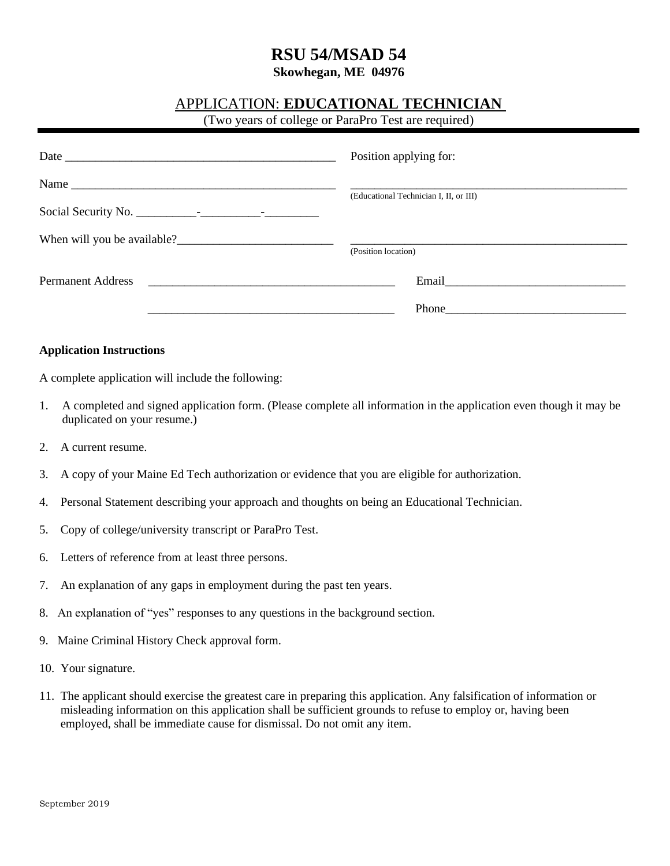## **RSU 54/MSAD 54**

**Skowhegan, ME 04976**

### APPLICATION: **EDUCATIONAL TECHNICIAN**

(Two years of college or ParaPro Test are required)

|                          | Position applying for:                                                                                                                                                                                                         |
|--------------------------|--------------------------------------------------------------------------------------------------------------------------------------------------------------------------------------------------------------------------------|
|                          | (Educational Technician I, II, or III)                                                                                                                                                                                         |
|                          | (Position location)                                                                                                                                                                                                            |
| <b>Permanent Address</b> | Email expansion of the state of the state of the state of the state of the state of the state of the state of the state of the state of the state of the state of the state of the state of the state of the state of the stat |
|                          | Phone                                                                                                                                                                                                                          |

#### **Application Instructions**

A complete application will include the following:

- 1. A completed and signed application form. (Please complete all information in the application even though it may be duplicated on your resume.)
- 2. A current resume.
- 3. A copy of your Maine Ed Tech authorization or evidence that you are eligible for authorization.
- 4. Personal Statement describing your approach and thoughts on being an Educational Technician.
- 5. Copy of college/university transcript or ParaPro Test.
- 6. Letters of reference from at least three persons.
- 7. An explanation of any gaps in employment during the past ten years.
- 8. An explanation of "yes" responses to any questions in the background section.
- 9. Maine Criminal History Check approval form.
- 10. Your signature.
- 11. The applicant should exercise the greatest care in preparing this application. Any falsification of information or misleading information on this application shall be sufficient grounds to refuse to employ or, having been employed, shall be immediate cause for dismissal. Do not omit any item.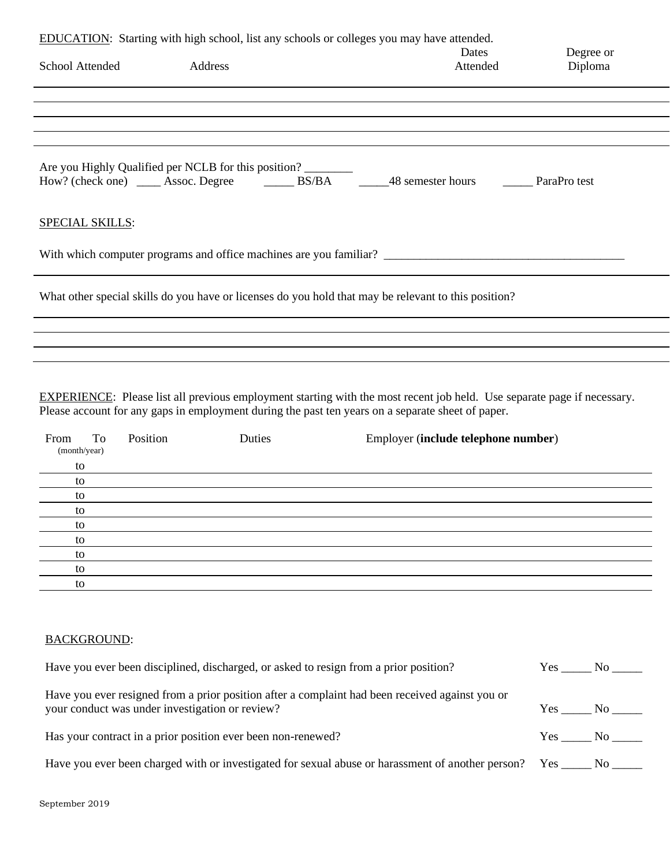| EDUCATION: Starting with high school, list any schools or colleges you may have attended.            |                                                      |          |           |
|------------------------------------------------------------------------------------------------------|------------------------------------------------------|----------|-----------|
|                                                                                                      |                                                      | Dates    | Degree or |
| School Attended                                                                                      | Address                                              | Attended | Diploma   |
|                                                                                                      |                                                      |          |           |
|                                                                                                      |                                                      |          |           |
|                                                                                                      |                                                      |          |           |
|                                                                                                      |                                                      |          |           |
|                                                                                                      |                                                      |          |           |
|                                                                                                      | Are you Highly Qualified per NCLB for this position? |          |           |
|                                                                                                      |                                                      |          |           |
|                                                                                                      |                                                      |          |           |
|                                                                                                      |                                                      |          |           |
| SPECIAL SKILLS:                                                                                      |                                                      |          |           |
|                                                                                                      |                                                      |          |           |
| With which computer programs and office machines are you familiar?                                   |                                                      |          |           |
|                                                                                                      |                                                      |          |           |
|                                                                                                      |                                                      |          |           |
| What other special skills do you have or licenses do you hold that may be relevant to this position? |                                                      |          |           |
|                                                                                                      |                                                      |          |           |
|                                                                                                      |                                                      |          |           |
|                                                                                                      |                                                      |          |           |
|                                                                                                      |                                                      |          |           |
|                                                                                                      |                                                      |          |           |

EXPERIENCE: Please list all previous employment starting with the most recent job held. Use separate page if necessary. Please account for any gaps in employment during the past ten years on a separate sheet of paper.

| To<br>From<br>(month/year) | Position | Duties | Employer (include telephone number) |
|----------------------------|----------|--------|-------------------------------------|
| to                         |          |        |                                     |
| to                         |          |        |                                     |
| to                         |          |        |                                     |
| to                         |          |        |                                     |
| to                         |          |        |                                     |
| to                         |          |        |                                     |
| to                         |          |        |                                     |
| to                         |          |        |                                     |
| to                         |          |        |                                     |

#### BACKGROUND:

| Have you ever been disciplined, discharged, or asked to resign from a prior position?                                                              | Yes    | No              |
|----------------------------------------------------------------------------------------------------------------------------------------------------|--------|-----------------|
| Have you ever resigned from a prior position after a complaint had been received against you or<br>your conduct was under investigation or review? | Yes    | $\rm{No}$ $\_\$ |
| Has your contract in a prior position ever been non-renewed?                                                                                       | Yes No |                 |
| Have you ever been charged with or investigated for sexual abuse or hards ment of another person? Yes _____ No _____                               |        |                 |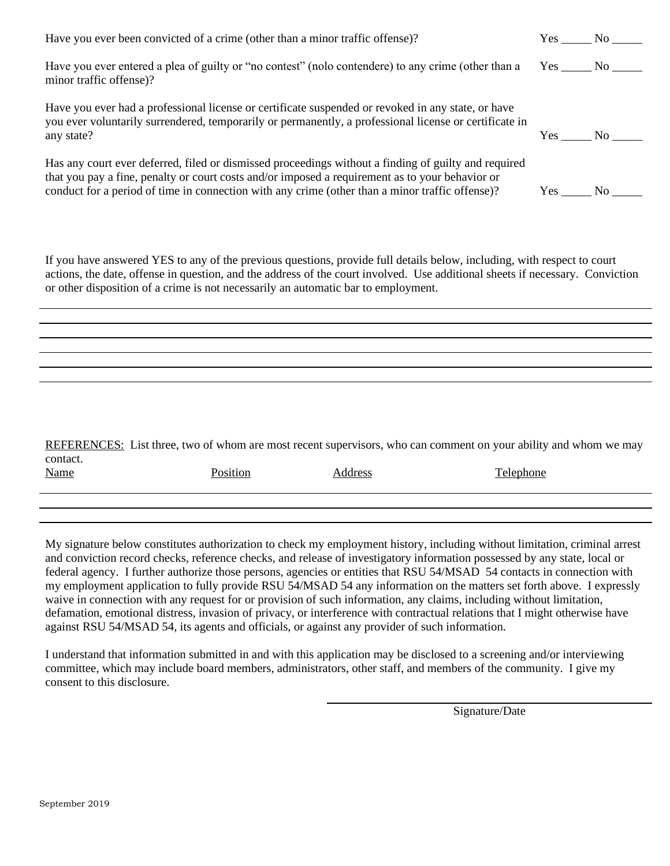| Have you ever been convicted of a crime (other than a minor traffic offense)?                                                                                                                                                                                                                              | Yes No |                      |
|------------------------------------------------------------------------------------------------------------------------------------------------------------------------------------------------------------------------------------------------------------------------------------------------------------|--------|----------------------|
| Have you ever entered a plea of guilty or "no contest" (nolo contendere) to any crime (other than a<br>minor traffic offense)?                                                                                                                                                                             | Yes No |                      |
| Have you ever had a professional license or certificate suspended or revoked in any state, or have<br>you ever voluntarily surrendered, temporarily or permanently, a professional license or certificate in<br>any state?                                                                                 | Yes    | No.                  |
| Has any court ever deferred, filed or dismissed proceedings without a finding of guilty and required<br>that you pay a fine, penalty or court costs and/or imposed a requirement as to your behavior or<br>conduct for a period of time in connection with any crime (other than a minor traffic offense)? | Yes    | No the North Street. |

If you have answered YES to any of the previous questions, provide full details below, including, with respect to court actions, the date, offense in question, and the address of the court involved. Use additional sheets if necessary. Conviction or other disposition of a crime is not necessarily an automatic bar to employment.

REFERENCES: List three, two of whom are most recent supervisors, who can comment on your ability and whom we may contact. Name Position **Position** Address Address Telephone

My signature below constitutes authorization to check my employment history, including without limitation, criminal arrest and conviction record checks, reference checks, and release of investigatory information possessed by any state, local or federal agency. I further authorize those persons, agencies or entities that RSU 54/MSAD 54 contacts in connection with my employment application to fully provide RSU 54/MSAD 54 any information on the matters set forth above. I expressly waive in connection with any request for or provision of such information, any claims, including without limitation, defamation, emotional distress, invasion of privacy, or interference with contractual relations that I might otherwise have against RSU 54/MSAD 54, its agents and officials, or against any provider of such information.

I understand that information submitted in and with this application may be disclosed to a screening and/or interviewing committee, which may include board members, administrators, other staff, and members of the community. I give my consent to this disclosure.

Signature/Date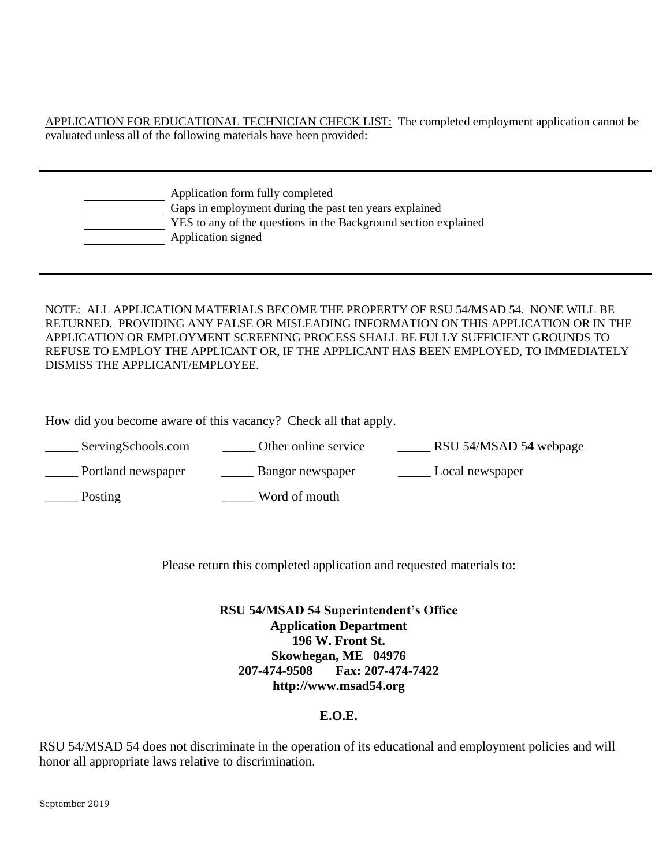APPLICATION FOR EDUCATIONAL TECHNICIAN CHECK LIST: The completed employment application cannot be evaluated unless all of the following materials have been provided:

| Application form fully completed                                |
|-----------------------------------------------------------------|
| Gaps in employment during the past ten years explained          |
| YES to any of the questions in the Background section explained |
| Application signed                                              |
|                                                                 |

NOTE: ALL APPLICATION MATERIALS BECOME THE PROPERTY OF RSU 54/MSAD 54. NONE WILL BE RETURNED. PROVIDING ANY FALSE OR MISLEADING INFORMATION ON THIS APPLICATION OR IN THE APPLICATION OR EMPLOYMENT SCREENING PROCESS SHALL BE FULLY SUFFICIENT GROUNDS TO REFUSE TO EMPLOY THE APPLICANT OR, IF THE APPLICANT HAS BEEN EMPLOYED, TO IMMEDIATELY DISMISS THE APPLICANT/EMPLOYEE.

How did you become aware of this vacancy? Check all that apply.

| ServingSchools.com | Other online service | RSU 54/MSAD 54 webpage |
|--------------------|----------------------|------------------------|
| Portland newspaper | Bangor newspaper     | Local newspaper        |
| Posting            | Word of mouth        |                        |

Please return this completed application and requested materials to:

**RSU 54/MSAD 54 Superintendent's Office Application Department 196 W. Front St. Skowhegan, ME 04976 207-474-9508 Fax: 207-474-7422 http://www.msad54.org**

#### **E.O.E.**

RSU 54/MSAD 54 does not discriminate in the operation of its educational and employment policies and will honor all appropriate laws relative to discrimination.